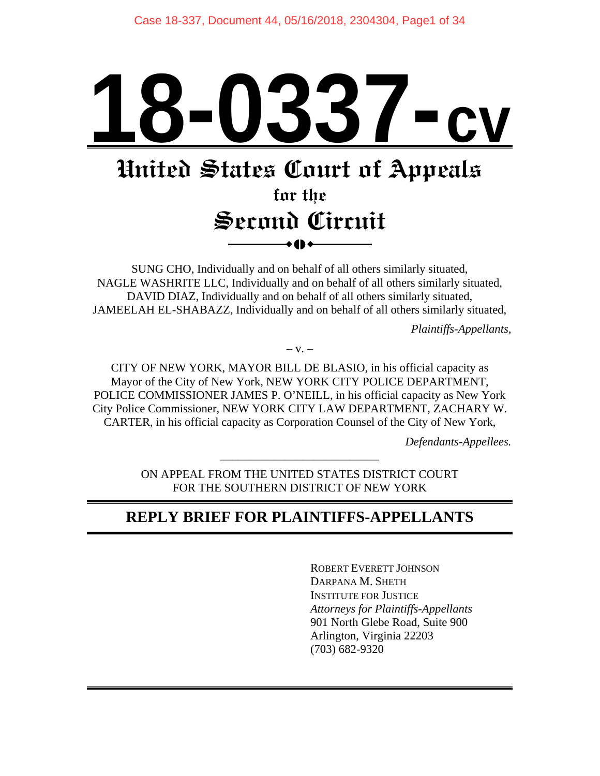# **18-0337-cv**

# **United States Court of Appeals**

# **for the Second Circuit**   $\bullet$  ()  $\bullet$

SUNG CHO, Individually and on behalf of all others similarly situated, NAGLE WASHRITE LLC, Individually and on behalf of all others similarly situated, DAVID DIAZ, Individually and on behalf of all others similarly situated, JAMEELAH EL-SHABAZZ, Individually and on behalf of all others similarly situated,

*Plaintiffs-Appellants,* 

 $-$  V.  $-$ 

CITY OF NEW YORK, MAYOR BILL DE BLASIO, in his official capacity as Mayor of the City of New York, NEW YORK CITY POLICE DEPARTMENT, POLICE COMMISSIONER JAMES P. O'NEILL, in his official capacity as New York City Police Commissioner, NEW YORK CITY LAW DEPARTMENT, ZACHARY W. CARTER, in his official capacity as Corporation Counsel of the City of New York,

*Defendants-Appellees.* 

ON APPEAL FROM THE UNITED STATES DISTRICT COURT FOR THE SOUTHERN DISTRICT OF NEW YORK

\_\_\_\_\_\_\_\_\_\_\_\_\_\_\_\_\_\_\_\_\_\_\_\_\_\_\_

# **REPLY BRIEF FOR PLAINTIFFS-APPELLANTS**

 ROBERT EVERETT JOHNSON DARPANA M. SHETH INSTITUTE FOR JUSTICE *Attorneys for Plaintiffs-Appellants*  901 North Glebe Road, Suite 900 Arlington, Virginia 22203 (703) 682-9320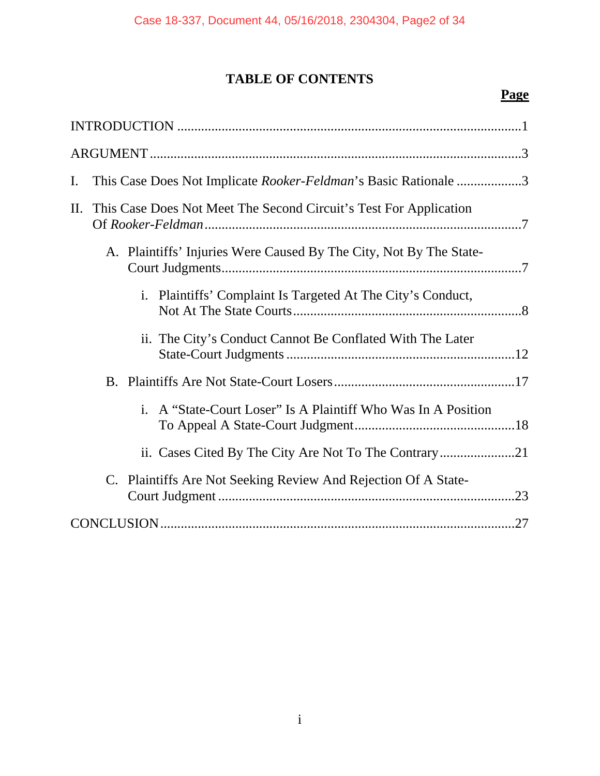# **TABLE OF CONTENTS**

# **Page**

| $\mathbf{I}$ . |                                                                    | This Case Does Not Implicate Rooker-Feldman's Basic Rationale 3  |  |
|----------------|--------------------------------------------------------------------|------------------------------------------------------------------|--|
| $\prod$ .      | This Case Does Not Meet The Second Circuit's Test For Application  |                                                                  |  |
|                | A. Plaintiffs' Injuries Were Caused By The City, Not By The State- |                                                                  |  |
|                |                                                                    | Plaintiffs' Complaint Is Targeted At The City's Conduct,<br>i.   |  |
|                |                                                                    | ii. The City's Conduct Cannot Be Conflated With The Later        |  |
|                |                                                                    |                                                                  |  |
|                |                                                                    | A "State-Court Loser" Is A Plaintiff Who Was In A Position<br>Ť. |  |
|                |                                                                    |                                                                  |  |
|                |                                                                    | C. Plaintiffs Are Not Seeking Review And Rejection Of A State-   |  |
|                |                                                                    |                                                                  |  |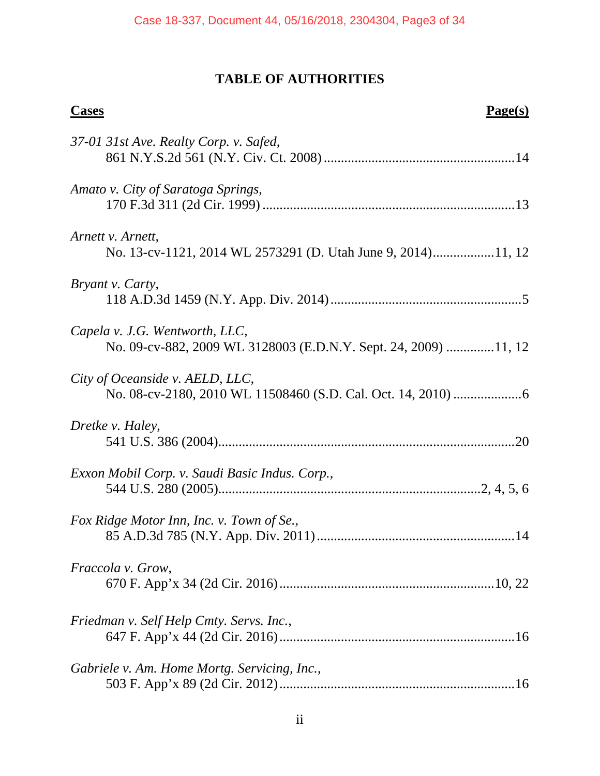# **TABLE OF AUTHORITIES**

| <b>Cases</b><br>Page(s)                                                                           |
|---------------------------------------------------------------------------------------------------|
| 37-01 31st Ave. Realty Corp. v. Safed,                                                            |
| Amato v. City of Saratoga Springs,                                                                |
| Arnett v. Arnett,<br>No. 13-cv-1121, 2014 WL 2573291 (D. Utah June 9, 2014)11, 12                 |
| Bryant v. Carty,                                                                                  |
| Capela v. J.G. Wentworth, LLC,<br>No. 09-cv-882, 2009 WL 3128003 (E.D.N.Y. Sept. 24, 2009) 11, 12 |
| City of Oceanside v. AELD, LLC,                                                                   |
| Dretke v. Haley,                                                                                  |
| Exxon Mobil Corp. v. Saudi Basic Indus. Corp.,                                                    |
| Fox Ridge Motor Inn, Inc. v. Town of Se.,                                                         |
| Fraccola v. Grow,                                                                                 |
| Friedman v. Self Help Cmty. Servs. Inc.,                                                          |
| Gabriele v. Am. Home Mortg. Servicing, Inc.,                                                      |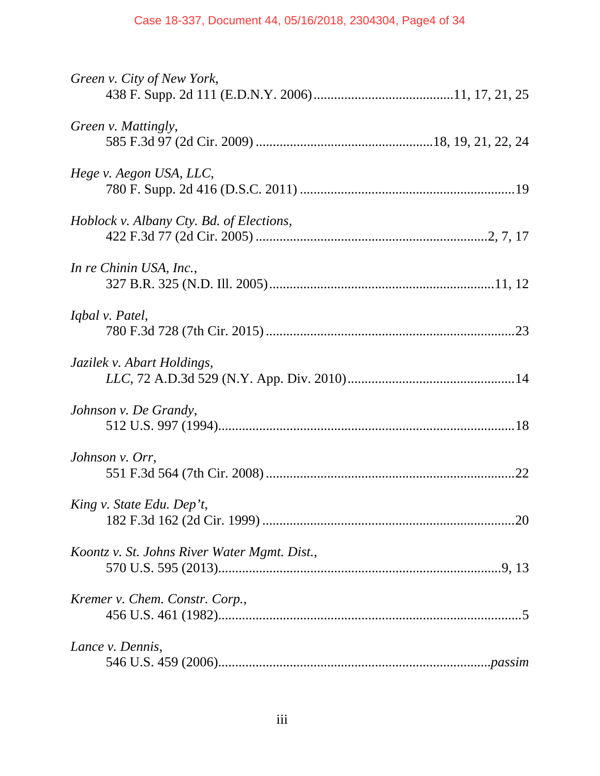| Green v. City of New York,                   |
|----------------------------------------------|
| Green v. Mattingly,                          |
| Hege v. Aegon USA, LLC,                      |
| Hoblock v. Albany Cty. Bd. of Elections,     |
| In re Chinin USA, Inc.,                      |
| Iqbal v. Patel,                              |
| Jazilek v. Abart Holdings,                   |
| Johnson v. De Grandy,                        |
| Johnson v. Orr,                              |
| King v. State Edu. Dep't,                    |
| Koontz v. St. Johns River Water Mgmt. Dist., |
| Kremer v. Chem. Constr. Corp.,               |
| Lance v. Dennis,                             |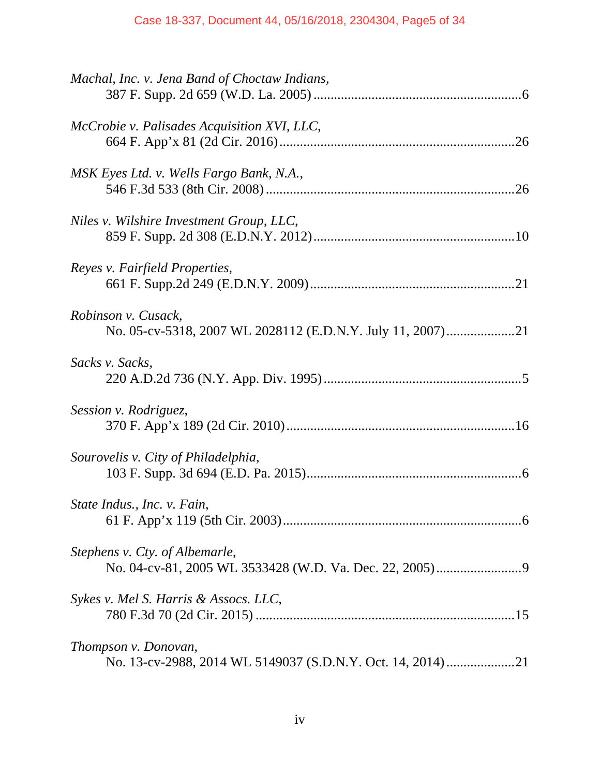| Machal, Inc. v. Jena Band of Choctaw Indians,                                     |
|-----------------------------------------------------------------------------------|
| McCrobie v. Palisades Acquisition XVI, LLC,                                       |
| MSK Eyes Ltd. v. Wells Fargo Bank, N.A.,                                          |
| Niles v. Wilshire Investment Group, LLC,                                          |
| Reyes v. Fairfield Properties,                                                    |
| Robinson v. Cusack,<br>No. 05-cv-5318, 2007 WL 2028112 (E.D.N.Y. July 11, 2007)21 |
| Sacks v. Sacks,                                                                   |
| Session v. Rodriguez,                                                             |
| Sourovelis v. City of Philadelphia,                                               |
| State Indus., Inc. v. Fain,                                                       |
| Stephens v. Cty. of Albemarle,                                                    |
| Sykes v. Mel S. Harris & Assocs. LLC,                                             |
| Thompson v. Donovan,                                                              |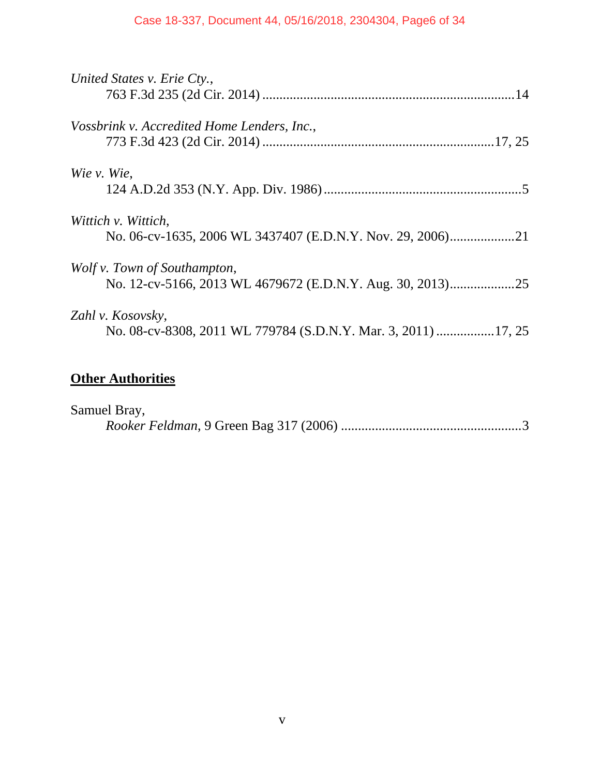## Case 18-337, Document 44, 05/16/2018, 2304304, Page6 of 34

| United States v. Erie Cty.,                                     |
|-----------------------------------------------------------------|
|                                                                 |
| Vossbrink v. Accredited Home Lenders, Inc.,                     |
|                                                                 |
| Wie v. Wie,                                                     |
|                                                                 |
| Wittich v. Wittich,                                             |
|                                                                 |
| Wolf v. Town of Southampton,                                    |
| No. 12-cv-5166, 2013 WL 4679672 (E.D.N.Y. Aug. 30, 2013)<br>.25 |
| Zahl v. Kosovsky,                                               |
| No. 08-cv-8308, 2011 WL 779784 (S.D.N.Y. Mar. 3, 2011) 17, 25   |
|                                                                 |

# **Other Authorities**

| Samuel Bray, |  |
|--------------|--|
|              |  |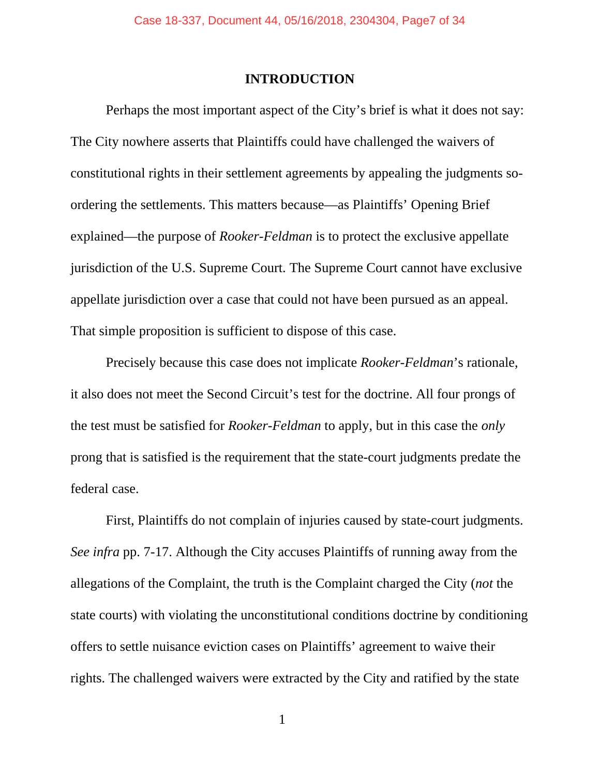### **INTRODUCTION**

 Perhaps the most important aspect of the City's brief is what it does not say: The City nowhere asserts that Plaintiffs could have challenged the waivers of constitutional rights in their settlement agreements by appealing the judgments soordering the settlements. This matters because—as Plaintiffs' Opening Brief explained—the purpose of *Rooker-Feldman* is to protect the exclusive appellate jurisdiction of the U.S. Supreme Court. The Supreme Court cannot have exclusive appellate jurisdiction over a case that could not have been pursued as an appeal. That simple proposition is sufficient to dispose of this case.

 Precisely because this case does not implicate *Rooker-Feldman*'s rationale, it also does not meet the Second Circuit's test for the doctrine. All four prongs of the test must be satisfied for *Rooker-Feldman* to apply, but in this case the *only*  prong that is satisfied is the requirement that the state-court judgments predate the federal case.

 First, Plaintiffs do not complain of injuries caused by state-court judgments. *See infra* pp. 7-17. Although the City accuses Plaintiffs of running away from the allegations of the Complaint, the truth is the Complaint charged the City (*not* the state courts) with violating the unconstitutional conditions doctrine by conditioning offers to settle nuisance eviction cases on Plaintiffs' agreement to waive their rights. The challenged waivers were extracted by the City and ratified by the state

1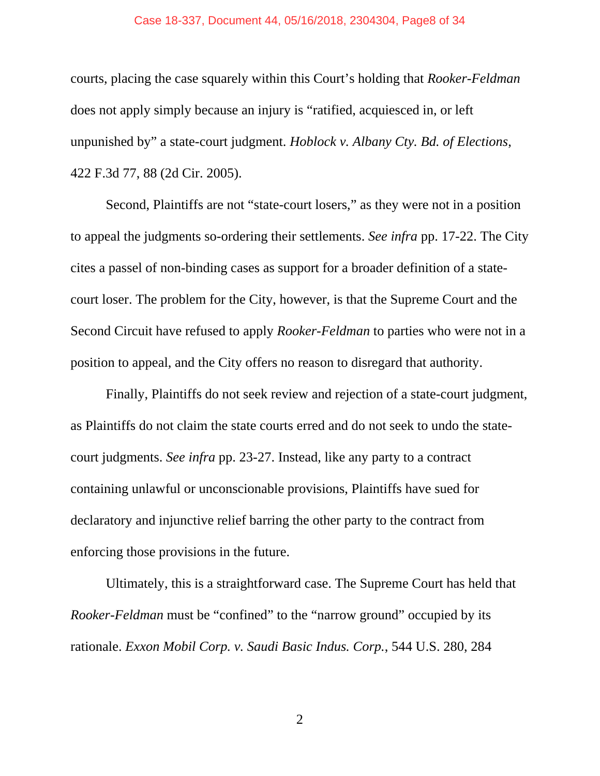#### Case 18-337, Document 44, 05/16/2018, 2304304, Page8 of 34

courts, placing the case squarely within this Court's holding that *Rooker-Feldman*  does not apply simply because an injury is "ratified, acquiesced in, or left unpunished by" a state-court judgment. *Hoblock v. Albany Cty. Bd. of Elections*, 422 F.3d 77, 88 (2d Cir. 2005).

 Second, Plaintiffs are not "state-court losers," as they were not in a position to appeal the judgments so-ordering their settlements. *See infra* pp. 17-22. The City cites a passel of non-binding cases as support for a broader definition of a statecourt loser. The problem for the City, however, is that the Supreme Court and the Second Circuit have refused to apply *Rooker-Feldman* to parties who were not in a position to appeal, and the City offers no reason to disregard that authority.

 Finally, Plaintiffs do not seek review and rejection of a state-court judgment, as Plaintiffs do not claim the state courts erred and do not seek to undo the statecourt judgments. *See infra* pp. 23-27. Instead, like any party to a contract containing unlawful or unconscionable provisions, Plaintiffs have sued for declaratory and injunctive relief barring the other party to the contract from enforcing those provisions in the future.

 Ultimately, this is a straightforward case. The Supreme Court has held that *Rooker-Feldman* must be "confined" to the "narrow ground" occupied by its rationale. *Exxon Mobil Corp. v. Saudi Basic Indus. Corp.*, 544 U.S. 280, 284

 $2$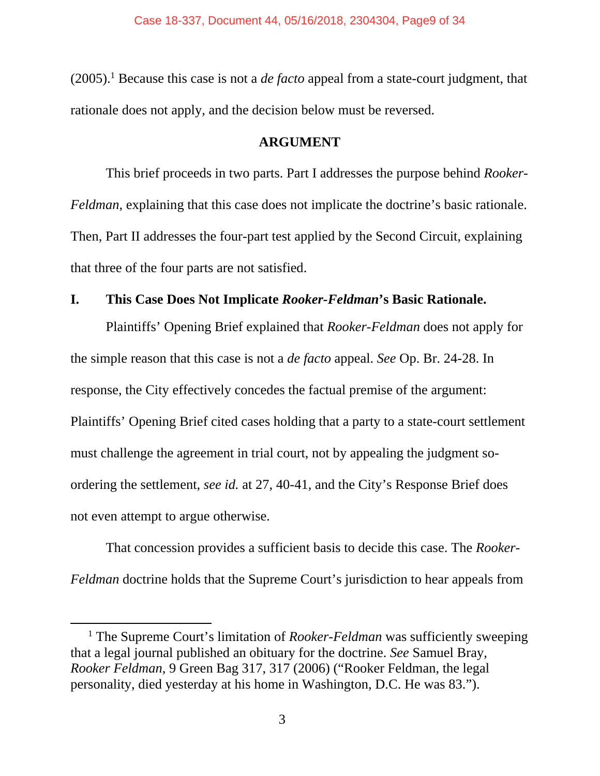$(2005).$ <sup>1</sup> Because this case is not a *de facto* appeal from a state-court judgment, that rationale does not apply, and the decision below must be reversed.

## **ARGUMENT**

 This brief proceeds in two parts. Part I addresses the purpose behind *Rooker-Feldman*, explaining that this case does not implicate the doctrine's basic rationale. Then, Part II addresses the four-part test applied by the Second Circuit, explaining that three of the four parts are not satisfied.

## **I. This Case Does Not Implicate** *Rooker-Feldman***'s Basic Rationale.**

Plaintiffs' Opening Brief explained that *Rooker-Feldman* does not apply for the simple reason that this case is not a *de facto* appeal. *See* Op. Br. 24-28. In response, the City effectively concedes the factual premise of the argument: Plaintiffs' Opening Brief cited cases holding that a party to a state-court settlement must challenge the agreement in trial court, not by appealing the judgment soordering the settlement, *see id.* at 27, 40-41, and the City's Response Brief does not even attempt to argue otherwise.

That concession provides a sufficient basis to decide this case. The *Rooker-Feldman* doctrine holds that the Supreme Court's jurisdiction to hear appeals from

<sup>&</sup>lt;sup>1</sup> The Supreme Court's limitation of *Rooker-Feldman* was sufficiently sweeping that a legal journal published an obituary for the doctrine. *See* Samuel Bray, *Rooker Feldman*, 9 Green Bag 317, 317 (2006) ("Rooker Feldman, the legal personality, died yesterday at his home in Washington, D.C. He was 83.").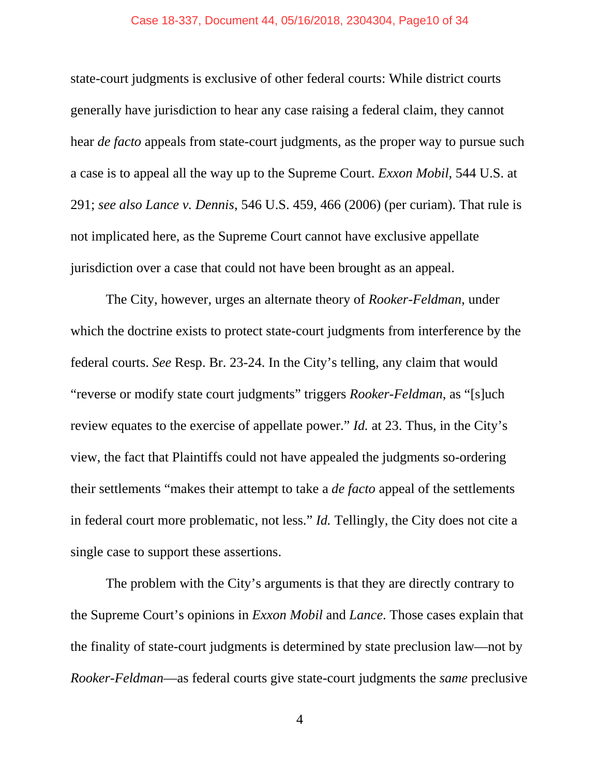#### Case 18-337, Document 44, 05/16/2018, 2304304, Page10 of 34

state-court judgments is exclusive of other federal courts: While district courts generally have jurisdiction to hear any case raising a federal claim, they cannot hear *de facto* appeals from state-court judgments, as the proper way to pursue such a case is to appeal all the way up to the Supreme Court. *Exxon Mobil*, 544 U.S. at 291; *see also Lance v. Dennis*, 546 U.S. 459, 466 (2006) (per curiam). That rule is not implicated here, as the Supreme Court cannot have exclusive appellate jurisdiction over a case that could not have been brought as an appeal.

The City, however, urges an alternate theory of *Rooker-Feldman*, under which the doctrine exists to protect state-court judgments from interference by the federal courts. *See* Resp. Br. 23-24. In the City's telling, any claim that would "reverse or modify state court judgments" triggers *Rooker-Feldman*, as "[s]uch review equates to the exercise of appellate power." *Id.* at 23. Thus, in the City's view, the fact that Plaintiffs could not have appealed the judgments so-ordering their settlements "makes their attempt to take a *de facto* appeal of the settlements in federal court more problematic, not less." *Id.* Tellingly, the City does not cite a single case to support these assertions.

The problem with the City's arguments is that they are directly contrary to the Supreme Court's opinions in *Exxon Mobil* and *Lance*. Those cases explain that the finality of state-court judgments is determined by state preclusion law—not by *Rooker-Feldman*—as federal courts give state-court judgments the *same* preclusive

 $4$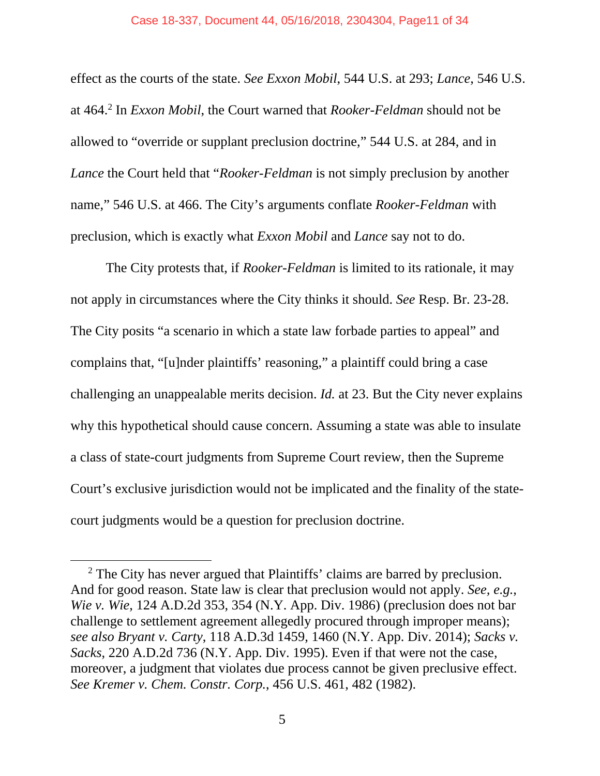#### Case 18-337, Document 44, 05/16/2018, 2304304, Page11 of 34

effect as the courts of the state. *See Exxon Mobil*, 544 U.S. at 293; *Lance*, 546 U.S. at 464.2 In *Exxon Mobil*, the Court warned that *Rooker-Feldman* should not be allowed to "override or supplant preclusion doctrine," 544 U.S. at 284, and in *Lance* the Court held that "*Rooker-Feldman* is not simply preclusion by another name," 546 U.S. at 466. The City's arguments conflate *Rooker-Feldman* with preclusion, which is exactly what *Exxon Mobil* and *Lance* say not to do.

The City protests that, if *Rooker-Feldman* is limited to its rationale, it may not apply in circumstances where the City thinks it should. *See* Resp. Br. 23-28. The City posits "a scenario in which a state law forbade parties to appeal" and complains that, "[u]nder plaintiffs' reasoning," a plaintiff could bring a case challenging an unappealable merits decision. *Id.* at 23. But the City never explains why this hypothetical should cause concern. Assuming a state was able to insulate a class of state-court judgments from Supreme Court review, then the Supreme Court's exclusive jurisdiction would not be implicated and the finality of the statecourt judgments would be a question for preclusion doctrine.

 <sup>2</sup> <sup>2</sup> The City has never argued that Plaintiffs' claims are barred by preclusion. And for good reason. State law is clear that preclusion would not apply. *See, e.g.*, *Wie v. Wie*, 124 A.D.2d 353, 354 (N.Y. App. Div. 1986) (preclusion does not bar challenge to settlement agreement allegedly procured through improper means); *see also Bryant v. Carty*, 118 A.D.3d 1459, 1460 (N.Y. App. Div. 2014); *Sacks v. Sacks*, 220 A.D.2d 736 (N.Y. App. Div. 1995). Even if that were not the case, moreover, a judgment that violates due process cannot be given preclusive effect. *See Kremer v. Chem. Constr. Corp.*, 456 U.S. 461, 482 (1982).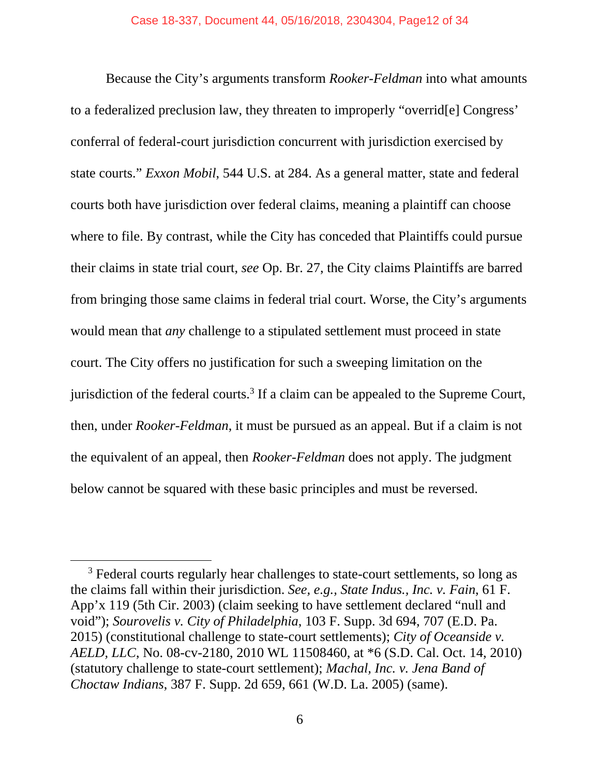Because the City's arguments transform *Rooker-Feldman* into what amounts to a federalized preclusion law, they threaten to improperly "overrid[e] Congress' conferral of federal-court jurisdiction concurrent with jurisdiction exercised by state courts." *Exxon Mobil*, 544 U.S. at 284. As a general matter, state and federal courts both have jurisdiction over federal claims, meaning a plaintiff can choose where to file. By contrast, while the City has conceded that Plaintiffs could pursue their claims in state trial court, *see* Op. Br. 27, the City claims Plaintiffs are barred from bringing those same claims in federal trial court. Worse, the City's arguments would mean that *any* challenge to a stipulated settlement must proceed in state court. The City offers no justification for such a sweeping limitation on the jurisdiction of the federal courts.<sup>3</sup> If a claim can be appealed to the Supreme Court, then, under *Rooker-Feldman*, it must be pursued as an appeal. But if a claim is not the equivalent of an appeal, then *Rooker-Feldman* does not apply. The judgment below cannot be squared with these basic principles and must be reversed.

 $\overline{\phantom{0}}$  3 <sup>3</sup> Federal courts regularly hear challenges to state-court settlements, so long as the claims fall within their jurisdiction. *See, e.g., State Indus., Inc. v. Fain*, 61 F. App'x 119 (5th Cir. 2003) (claim seeking to have settlement declared "null and void"); *Sourovelis v. City of Philadelphia*, 103 F. Supp. 3d 694, 707 (E.D. Pa. 2015) (constitutional challenge to state-court settlements); *City of Oceanside v. AELD, LLC*, No. 08-cv-2180, 2010 WL 11508460, at \*6 (S.D. Cal. Oct. 14, 2010) (statutory challenge to state-court settlement); *Machal, Inc. v. Jena Band of Choctaw Indians*, 387 F. Supp. 2d 659, 661 (W.D. La. 2005) (same).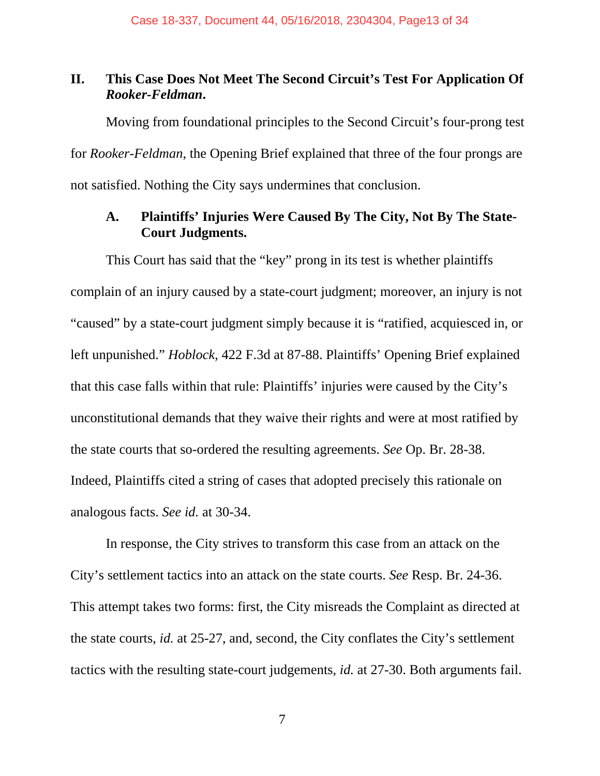## **II. This Case Does Not Meet The Second Circuit's Test For Application Of**  *Rooker-Feldman***.**

Moving from foundational principles to the Second Circuit's four-prong test for *Rooker-Feldman*, the Opening Brief explained that three of the four prongs are not satisfied. Nothing the City says undermines that conclusion.

## **A. Plaintiffs' Injuries Were Caused By The City, Not By The State-Court Judgments.**

This Court has said that the "key" prong in its test is whether plaintiffs complain of an injury caused by a state-court judgment; moreover, an injury is not "caused" by a state-court judgment simply because it is "ratified, acquiesced in, or left unpunished." *Hoblock*, 422 F.3d at 87-88. Plaintiffs' Opening Brief explained that this case falls within that rule: Plaintiffs' injuries were caused by the City's unconstitutional demands that they waive their rights and were at most ratified by the state courts that so-ordered the resulting agreements. *See* Op. Br. 28-38. Indeed, Plaintiffs cited a string of cases that adopted precisely this rationale on analogous facts. *See id.* at 30-34.

In response, the City strives to transform this case from an attack on the City's settlement tactics into an attack on the state courts. *See* Resp. Br. 24-36. This attempt takes two forms: first, the City misreads the Complaint as directed at the state courts, *id.* at 25-27, and, second, the City conflates the City's settlement tactics with the resulting state-court judgements, *id.* at 27-30. Both arguments fail.

 $\overline{7}$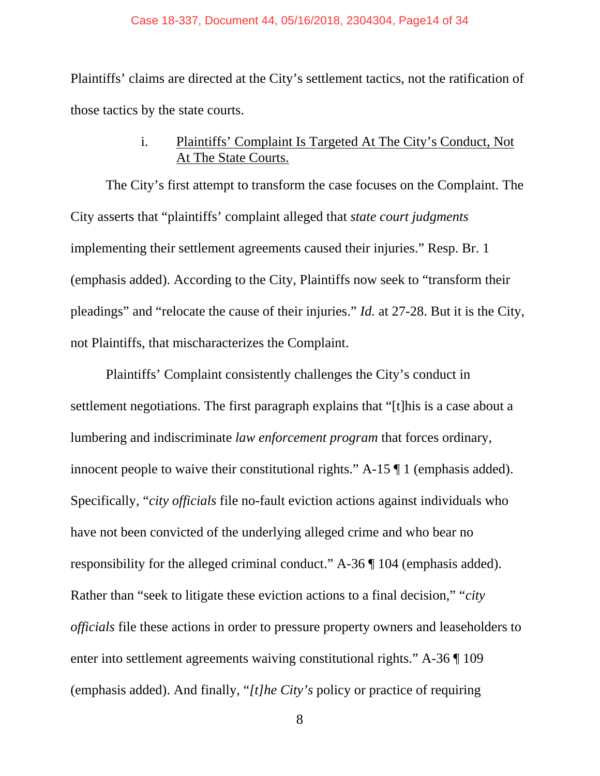#### Case 18-337, Document 44, 05/16/2018, 2304304, Page14 of 34

Plaintiffs' claims are directed at the City's settlement tactics, not the ratification of those tactics by the state courts.

## i. Plaintiffs' Complaint Is Targeted At The City's Conduct, Not At The State Courts.

The City's first attempt to transform the case focuses on the Complaint. The City asserts that "plaintiffs' complaint alleged that *state court judgments* implementing their settlement agreements caused their injuries." Resp. Br. 1 (emphasis added). According to the City, Plaintiffs now seek to "transform their pleadings" and "relocate the cause of their injuries." *Id.* at 27-28. But it is the City, not Plaintiffs, that mischaracterizes the Complaint.

Plaintiffs' Complaint consistently challenges the City's conduct in settlement negotiations. The first paragraph explains that "[t]his is a case about a lumbering and indiscriminate *law enforcement program* that forces ordinary, innocent people to waive their constitutional rights." A-15 ¶ 1 (emphasis added). Specifically, "*city officials* file no-fault eviction actions against individuals who have not been convicted of the underlying alleged crime and who bear no responsibility for the alleged criminal conduct." A-36 ¶ 104 (emphasis added). Rather than "seek to litigate these eviction actions to a final decision," "*city officials* file these actions in order to pressure property owners and leaseholders to enter into settlement agreements waiving constitutional rights." A-36 ¶ 109 (emphasis added). And finally, "*[t]he City's* policy or practice of requiring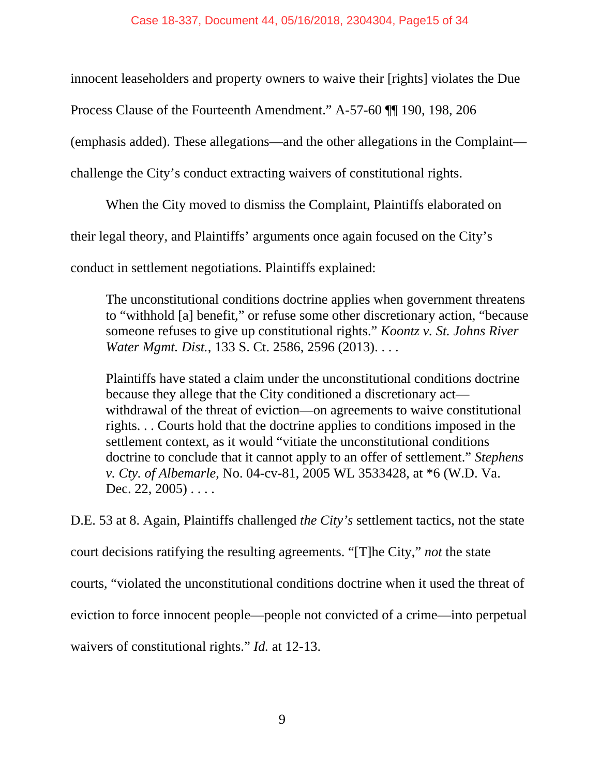innocent leaseholders and property owners to waive their [rights] violates the Due

Process Clause of the Fourteenth Amendment." A-57-60 ¶¶ 190, 198, 206

(emphasis added). These allegations—and the other allegations in the Complaint—

challenge the City's conduct extracting waivers of constitutional rights.

When the City moved to dismiss the Complaint, Plaintiffs elaborated on

their legal theory, and Plaintiffs' arguments once again focused on the City's

conduct in settlement negotiations. Plaintiffs explained:

The unconstitutional conditions doctrine applies when government threatens to "withhold [a] benefit," or refuse some other discretionary action, "because someone refuses to give up constitutional rights." *Koontz v. St. Johns River Water Mgmt. Dist.*, 133 S. Ct. 2586, 2596 (2013). . . .

Plaintiffs have stated a claim under the unconstitutional conditions doctrine because they allege that the City conditioned a discretionary act withdrawal of the threat of eviction—on agreements to waive constitutional rights. . . Courts hold that the doctrine applies to conditions imposed in the settlement context, as it would "vitiate the unconstitutional conditions doctrine to conclude that it cannot apply to an offer of settlement." *Stephens v. Cty. of Albemarle*, No. 04-cv-81, 2005 WL 3533428, at \*6 (W.D. Va. Dec. 22,  $2005$ ) . . . .

D.E. 53 at 8. Again, Plaintiffs challenged *the City's* settlement tactics, not the state court decisions ratifying the resulting agreements. "[T]he City," *not* the state courts, "violated the unconstitutional conditions doctrine when it used the threat of eviction to force innocent people—people not convicted of a crime—into perpetual waivers of constitutional rights." *Id.* at 12-13.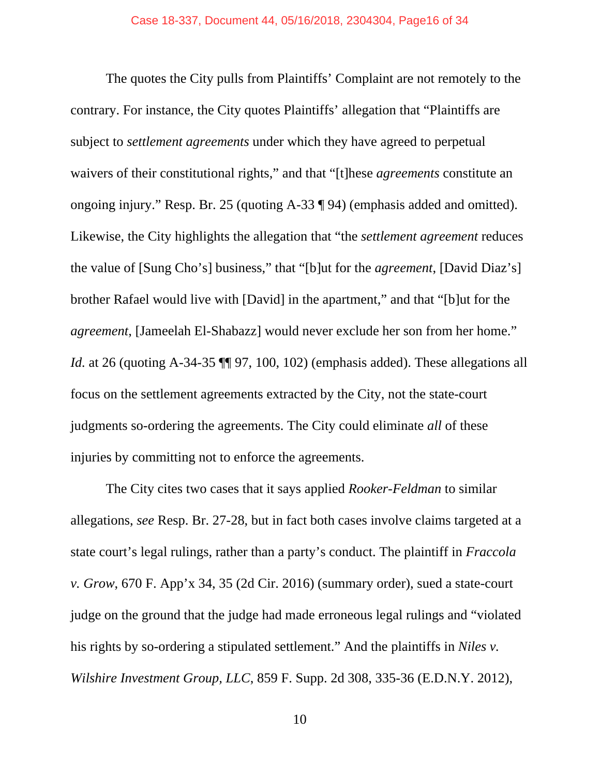The quotes the City pulls from Plaintiffs' Complaint are not remotely to the contrary. For instance, the City quotes Plaintiffs' allegation that "Plaintiffs are subject to *settlement agreements* under which they have agreed to perpetual waivers of their constitutional rights," and that "[t]hese *agreements* constitute an ongoing injury." Resp. Br. 25 (quoting A-33 ¶ 94) (emphasis added and omitted). Likewise, the City highlights the allegation that "the *settlement agreement* reduces the value of [Sung Cho's] business," that "[b]ut for the *agreement*, [David Diaz's] brother Rafael would live with [David] in the apartment," and that "[b]ut for the *agreement*, [Jameelah El-Shabazz] would never exclude her son from her home." *Id.* at 26 (quoting A-34-35  $\P$ , 97, 100, 102) (emphasis added). These allegations all focus on the settlement agreements extracted by the City, not the state-court judgments so-ordering the agreements. The City could eliminate *all* of these injuries by committing not to enforce the agreements.

The City cites two cases that it says applied *Rooker-Feldman* to similar allegations, *see* Resp. Br. 27-28, but in fact both cases involve claims targeted at a state court's legal rulings, rather than a party's conduct. The plaintiff in *Fraccola v. Grow*, 670 F. App'x 34, 35 (2d Cir. 2016) (summary order), sued a state-court judge on the ground that the judge had made erroneous legal rulings and "violated his rights by so-ordering a stipulated settlement." And the plaintiffs in *Niles v. Wilshire Investment Group, LLC*, 859 F. Supp. 2d 308, 335-36 (E.D.N.Y. 2012),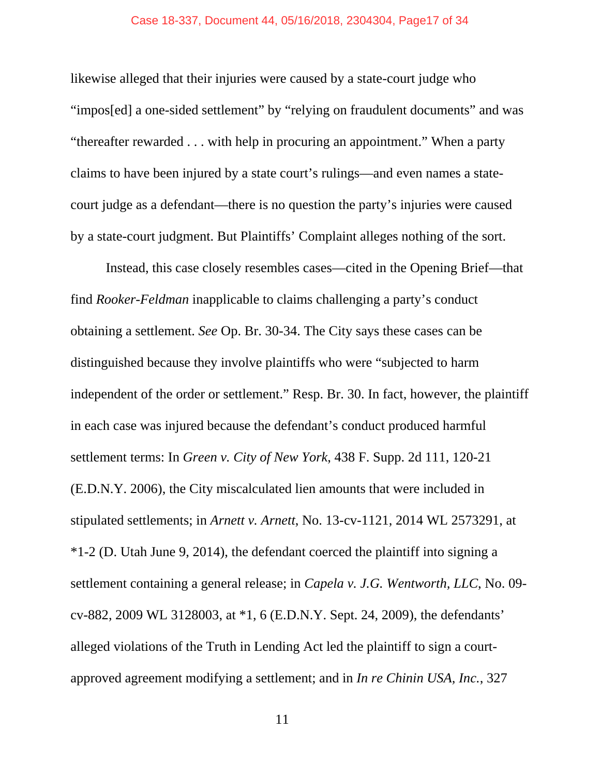#### Case 18-337, Document 44, 05/16/2018, 2304304, Page17 of 34

likewise alleged that their injuries were caused by a state-court judge who "impos[ed] a one-sided settlement" by "relying on fraudulent documents" and was "thereafter rewarded . . . with help in procuring an appointment." When a party claims to have been injured by a state court's rulings—and even names a statecourt judge as a defendant—there is no question the party's injuries were caused by a state-court judgment. But Plaintiffs' Complaint alleges nothing of the sort.

Instead, this case closely resembles cases—cited in the Opening Brief—that find *Rooker-Feldman* inapplicable to claims challenging a party's conduct obtaining a settlement. *See* Op. Br. 30-34. The City says these cases can be distinguished because they involve plaintiffs who were "subjected to harm independent of the order or settlement." Resp. Br. 30. In fact, however, the plaintiff in each case was injured because the defendant's conduct produced harmful settlement terms: In *Green v. City of New York*, 438 F. Supp. 2d 111, 120-21 (E.D.N.Y. 2006), the City miscalculated lien amounts that were included in stipulated settlements; in *Arnett v. Arnett*, No. 13-cv-1121, 2014 WL 2573291, at \*1-2 (D. Utah June 9, 2014), the defendant coerced the plaintiff into signing a settlement containing a general release; in *Capela v. J.G. Wentworth, LLC*, No. 09 cv-882, 2009 WL 3128003, at \*1, 6 (E.D.N.Y. Sept. 24, 2009), the defendants' alleged violations of the Truth in Lending Act led the plaintiff to sign a courtapproved agreement modifying a settlement; and in *In re Chinin USA, Inc.*, 327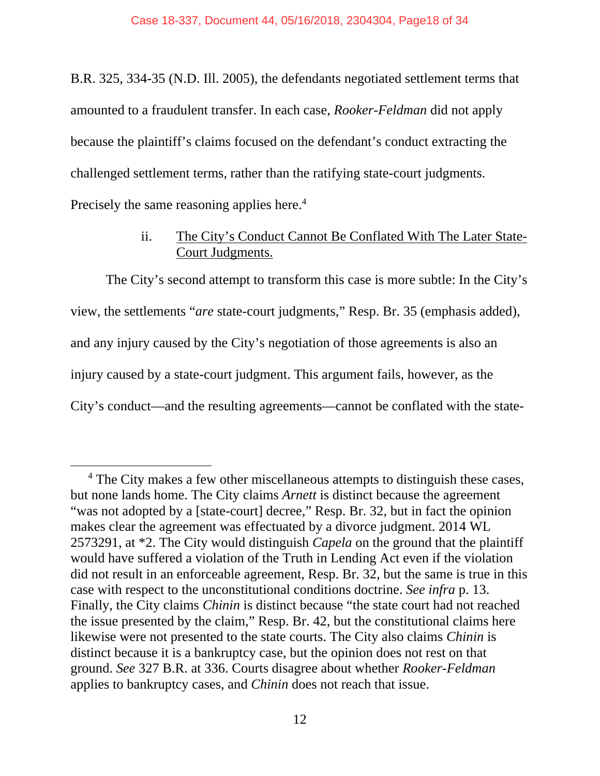B.R. 325, 334-35 (N.D. Ill. 2005), the defendants negotiated settlement terms that amounted to a fraudulent transfer. In each case, *Rooker-Feldman* did not apply because the plaintiff's claims focused on the defendant's conduct extracting the challenged settlement terms, rather than the ratifying state-court judgments. Precisely the same reasoning applies here.<sup>4</sup>

## ii. The City's Conduct Cannot Be Conflated With The Later State-Court Judgments.

The City's second attempt to transform this case is more subtle: In the City's view, the settlements "*are* state-court judgments," Resp. Br. 35 (emphasis added), and any injury caused by the City's negotiation of those agreements is also an injury caused by a state-court judgment. This argument fails, however, as the City's conduct—and the resulting agreements—cannot be conflated with the state-

 <sup>4</sup> <sup>4</sup> The City makes a few other miscellaneous attempts to distinguish these cases, but none lands home. The City claims *Arnett* is distinct because the agreement "was not adopted by a [state-court] decree," Resp. Br. 32, but in fact the opinion makes clear the agreement was effectuated by a divorce judgment. 2014 WL 2573291, at \*2. The City would distinguish *Capela* on the ground that the plaintiff would have suffered a violation of the Truth in Lending Act even if the violation did not result in an enforceable agreement, Resp. Br. 32, but the same is true in this case with respect to the unconstitutional conditions doctrine. *See infra* p. 13. Finally, the City claims *Chinin* is distinct because "the state court had not reached the issue presented by the claim," Resp. Br. 42, but the constitutional claims here likewise were not presented to the state courts. The City also claims *Chinin* is distinct because it is a bankruptcy case, but the opinion does not rest on that ground. *See* 327 B.R. at 336. Courts disagree about whether *Rooker-Feldman*  applies to bankruptcy cases, and *Chinin* does not reach that issue.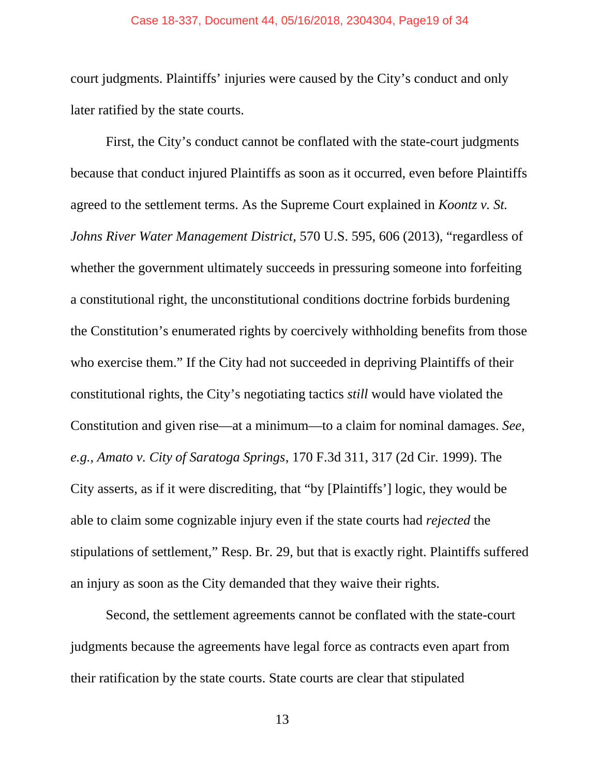#### Case 18-337, Document 44, 05/16/2018, 2304304, Page19 of 34

court judgments. Plaintiffs' injuries were caused by the City's conduct and only later ratified by the state courts.

First, the City's conduct cannot be conflated with the state-court judgments because that conduct injured Plaintiffs as soon as it occurred, even before Plaintiffs agreed to the settlement terms. As the Supreme Court explained in *Koontz v. St. Johns River Water Management District*, 570 U.S. 595, 606 (2013), "regardless of whether the government ultimately succeeds in pressuring someone into forfeiting a constitutional right, the unconstitutional conditions doctrine forbids burdening the Constitution's enumerated rights by coercively withholding benefits from those who exercise them." If the City had not succeeded in depriving Plaintiffs of their constitutional rights, the City's negotiating tactics *still* would have violated the Constitution and given rise—at a minimum—to a claim for nominal damages. *See, e.g., Amato v. City of Saratoga Springs*, 170 F.3d 311, 317 (2d Cir. 1999). The City asserts, as if it were discrediting, that "by [Plaintiffs'] logic, they would be able to claim some cognizable injury even if the state courts had *rejected* the stipulations of settlement," Resp. Br. 29, but that is exactly right. Plaintiffs suffered an injury as soon as the City demanded that they waive their rights.

Second, the settlement agreements cannot be conflated with the state-court judgments because the agreements have legal force as contracts even apart from their ratification by the state courts. State courts are clear that stipulated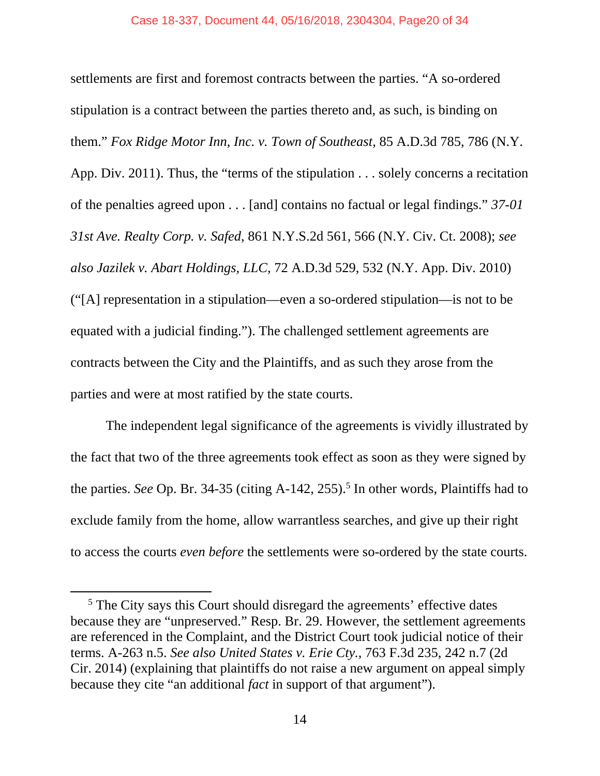settlements are first and foremost contracts between the parties. "A so-ordered stipulation is a contract between the parties thereto and, as such, is binding on them." *Fox Ridge Motor Inn, Inc. v. Town of Southeast*, 85 A.D.3d 785, 786 (N.Y. App. Div. 2011). Thus, the "terms of the stipulation . . . solely concerns a recitation of the penalties agreed upon . . . [and] contains no factual or legal findings." *37-01 31st Ave. Realty Corp. v. Safed*, 861 N.Y.S.2d 561, 566 (N.Y. Civ. Ct. 2008); *see also Jazilek v. Abart Holdings, LLC*, 72 A.D.3d 529, 532 (N.Y. App. Div. 2010) ("[A] representation in a stipulation—even a so-ordered stipulation—is not to be equated with a judicial finding."). The challenged settlement agreements are contracts between the City and the Plaintiffs, and as such they arose from the parties and were at most ratified by the state courts.

The independent legal significance of the agreements is vividly illustrated by the fact that two of the three agreements took effect as soon as they were signed by the parties. *See* Op. Br. 34-35 (citing  $A-142$ , 255).<sup>5</sup> In other words, Plaintiffs had to exclude family from the home, allow warrantless searches, and give up their right to access the courts *even before* the settlements were so-ordered by the state courts.

<sup>&</sup>lt;sup>5</sup> The City says this Court should disregard the agreements' effective dates because they are "unpreserved." Resp. Br. 29. However, the settlement agreements are referenced in the Complaint, and the District Court took judicial notice of their terms. A-263 n.5. *See also United States v. Erie Cty.*, 763 F.3d 235, 242 n.7 (2d Cir. 2014) (explaining that plaintiffs do not raise a new argument on appeal simply because they cite "an additional *fact* in support of that argument").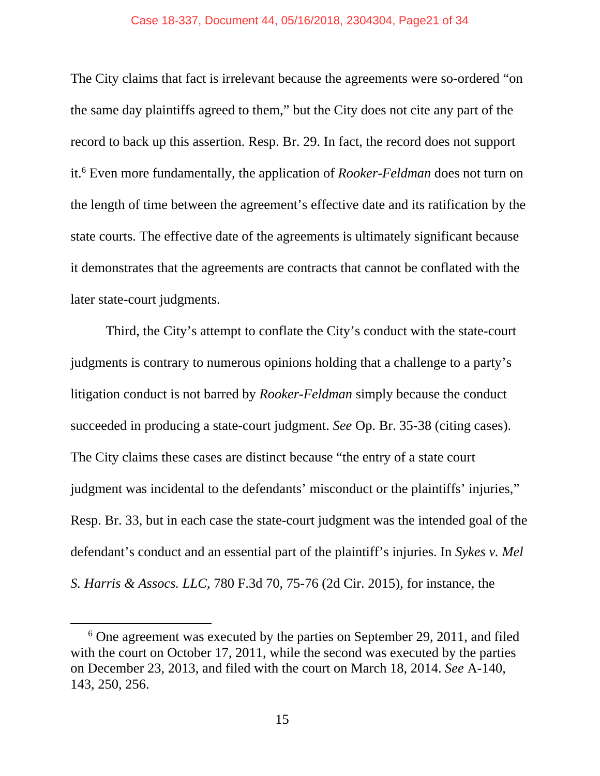#### Case 18-337, Document 44, 05/16/2018, 2304304, Page21 of 34

The City claims that fact is irrelevant because the agreements were so-ordered "on the same day plaintiffs agreed to them," but the City does not cite any part of the record to back up this assertion. Resp. Br. 29. In fact, the record does not support it.6 Even more fundamentally, the application of *Rooker-Feldman* does not turn on the length of time between the agreement's effective date and its ratification by the state courts. The effective date of the agreements is ultimately significant because it demonstrates that the agreements are contracts that cannot be conflated with the later state-court judgments.

Third, the City's attempt to conflate the City's conduct with the state-court judgments is contrary to numerous opinions holding that a challenge to a party's litigation conduct is not barred by *Rooker-Feldman* simply because the conduct succeeded in producing a state-court judgment. *See* Op. Br. 35-38 (citing cases). The City claims these cases are distinct because "the entry of a state court judgment was incidental to the defendants' misconduct or the plaintiffs' injuries," Resp. Br. 33, but in each case the state-court judgment was the intended goal of the defendant's conduct and an essential part of the plaintiff's injuries. In *Sykes v. Mel S. Harris & Assocs. LLC*, 780 F.3d 70, 75-76 (2d Cir. 2015), for instance, the

 $\overline{\phantom{0}}$  $6$  One agreement was executed by the parties on September 29, 2011, and filed with the court on October 17, 2011, while the second was executed by the parties on December 23, 2013, and filed with the court on March 18, 2014. *See* A-140, 143, 250, 256.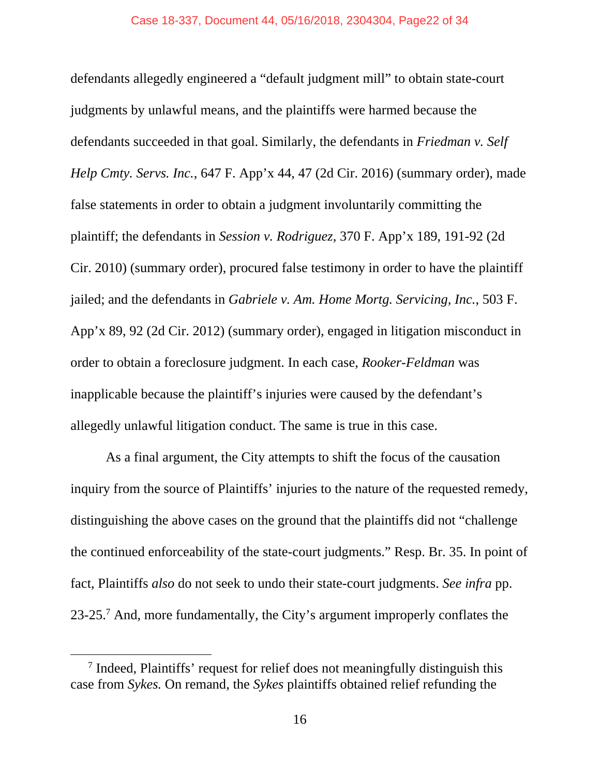defendants allegedly engineered a "default judgment mill" to obtain state-court judgments by unlawful means, and the plaintiffs were harmed because the defendants succeeded in that goal. Similarly, the defendants in *Friedman v. Self Help Cmty. Servs. Inc.*, 647 F. App'x 44, 47 (2d Cir. 2016) (summary order), made false statements in order to obtain a judgment involuntarily committing the plaintiff; the defendants in *Session v. Rodriguez*, 370 F. App'x 189, 191-92 (2d Cir. 2010) (summary order), procured false testimony in order to have the plaintiff jailed; and the defendants in *Gabriele v. Am. Home Mortg. Servicing, Inc.*, 503 F. App'x 89, 92 (2d Cir. 2012) (summary order), engaged in litigation misconduct in order to obtain a foreclosure judgment. In each case, *Rooker-Feldman* was inapplicable because the plaintiff's injuries were caused by the defendant's allegedly unlawful litigation conduct. The same is true in this case.

As a final argument, the City attempts to shift the focus of the causation inquiry from the source of Plaintiffs' injuries to the nature of the requested remedy, distinguishing the above cases on the ground that the plaintiffs did not "challenge the continued enforceability of the state-court judgments." Resp. Br. 35. In point of fact, Plaintiffs *also* do not seek to undo their state-court judgments. *See infra* pp. 23-25.<sup>7</sup> And, more fundamentally, the City's argument improperly conflates the

 <sup>7</sup> Indeed, Plaintiffs' request for relief does not meaningfully distinguish this case from *Sykes.* On remand, the *Sykes* plaintiffs obtained relief refunding the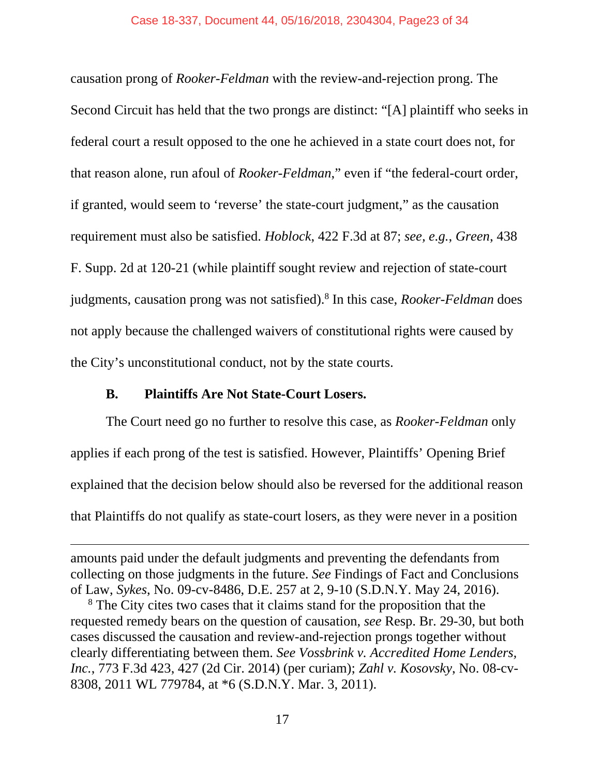causation prong of *Rooker-Feldman* with the review-and-rejection prong. The Second Circuit has held that the two prongs are distinct: "[A] plaintiff who seeks in federal court a result opposed to the one he achieved in a state court does not, for that reason alone, run afoul of *Rooker-Feldman*," even if "the federal-court order, if granted, would seem to 'reverse' the state-court judgment," as the causation requirement must also be satisfied. *Hoblock*, 422 F.3d at 87; *see, e.g.*, *Green*, 438 F. Supp. 2d at 120-21 (while plaintiff sought review and rejection of state-court judgments, causation prong was not satisfied).8 In this case, *Rooker-Feldman* does not apply because the challenged waivers of constitutional rights were caused by the City's unconstitutional conduct, not by the state courts.

## **B. Plaintiffs Are Not State-Court Losers.**

 $\overline{a}$ 

The Court need go no further to resolve this case, as *Rooker-Feldman* only applies if each prong of the test is satisfied. However, Plaintiffs' Opening Brief explained that the decision below should also be reversed for the additional reason that Plaintiffs do not qualify as state-court losers, as they were never in a position

amounts paid under the default judgments and preventing the defendants from collecting on those judgments in the future. *See* Findings of Fact and Conclusions of Law, *Sykes*, No. 09-cv-8486, D.E. 257 at 2, 9-10 (S.D.N.Y. May 24, 2016).

<sup>&</sup>lt;sup>8</sup> The City cites two cases that it claims stand for the proposition that the requested remedy bears on the question of causation, *see* Resp. Br. 29-30, but both cases discussed the causation and review-and-rejection prongs together without clearly differentiating between them. *See Vossbrink v. Accredited Home Lenders, Inc.*, 773 F.3d 423, 427 (2d Cir. 2014) (per curiam); *Zahl v. Kosovsky*, No. 08-cv-8308, 2011 WL 779784, at \*6 (S.D.N.Y. Mar. 3, 2011).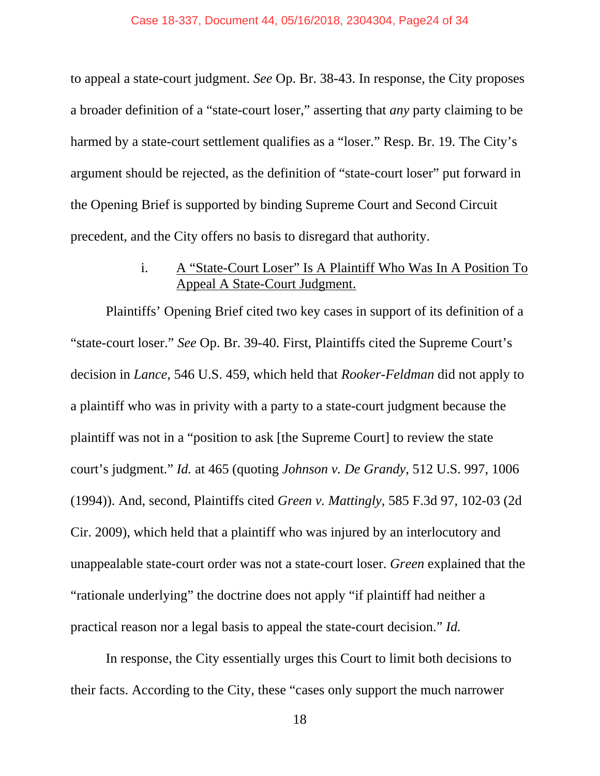to appeal a state-court judgment. *See* Op. Br. 38-43. In response, the City proposes a broader definition of a "state-court loser," asserting that *any* party claiming to be harmed by a state-court settlement qualifies as a "loser." Resp. Br. 19. The City's argument should be rejected, as the definition of "state-court loser" put forward in the Opening Brief is supported by binding Supreme Court and Second Circuit precedent, and the City offers no basis to disregard that authority.

## i. A "State-Court Loser" Is A Plaintiff Who Was In A Position To Appeal A State-Court Judgment.

Plaintiffs' Opening Brief cited two key cases in support of its definition of a "state-court loser." *See* Op. Br. 39-40. First, Plaintiffs cited the Supreme Court's decision in *Lance*, 546 U.S. 459, which held that *Rooker-Feldman* did not apply to a plaintiff who was in privity with a party to a state-court judgment because the plaintiff was not in a "position to ask [the Supreme Court] to review the state court's judgment." *Id.* at 465 (quoting *Johnson v. De Grandy*, 512 U.S. 997, 1006 (1994)). And, second, Plaintiffs cited *Green v. Mattingly*, 585 F.3d 97, 102-03 (2d Cir. 2009), which held that a plaintiff who was injured by an interlocutory and unappealable state-court order was not a state-court loser. *Green* explained that the "rationale underlying" the doctrine does not apply "if plaintiff had neither a practical reason nor a legal basis to appeal the state-court decision." *Id.* 

In response, the City essentially urges this Court to limit both decisions to their facts. According to the City, these "cases only support the much narrower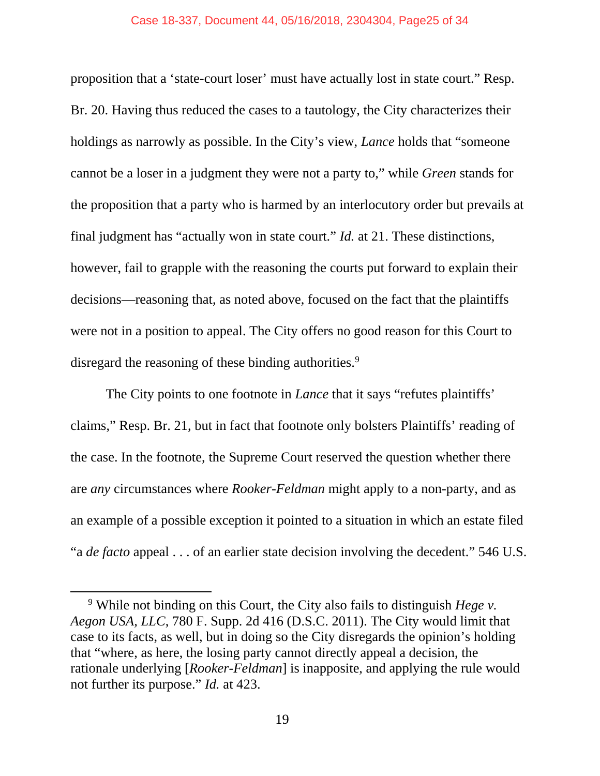#### Case 18-337, Document 44, 05/16/2018, 2304304, Page25 of 34

proposition that a 'state-court loser' must have actually lost in state court." Resp. Br. 20. Having thus reduced the cases to a tautology, the City characterizes their holdings as narrowly as possible. In the City's view, *Lance* holds that "someone cannot be a loser in a judgment they were not a party to," while *Green* stands for the proposition that a party who is harmed by an interlocutory order but prevails at final judgment has "actually won in state court." *Id.* at 21. These distinctions, however, fail to grapple with the reasoning the courts put forward to explain their decisions—reasoning that, as noted above, focused on the fact that the plaintiffs were not in a position to appeal. The City offers no good reason for this Court to disregard the reasoning of these binding authorities.<sup>9</sup>

The City points to one footnote in *Lance* that it says "refutes plaintiffs' claims," Resp. Br. 21, but in fact that footnote only bolsters Plaintiffs' reading of the case. In the footnote, the Supreme Court reserved the question whether there are *any* circumstances where *Rooker-Feldman* might apply to a non-party, and as an example of a possible exception it pointed to a situation in which an estate filed "a *de facto* appeal . . . of an earlier state decision involving the decedent." 546 U.S.

 <sup>9</sup> While not binding on this Court, the City also fails to distinguish *Hege v. Aegon USA, LLC*, 780 F. Supp. 2d 416 (D.S.C. 2011). The City would limit that case to its facts, as well, but in doing so the City disregards the opinion's holding that "where, as here, the losing party cannot directly appeal a decision, the rationale underlying [*Rooker-Feldman*] is inapposite, and applying the rule would not further its purpose." *Id.* at 423.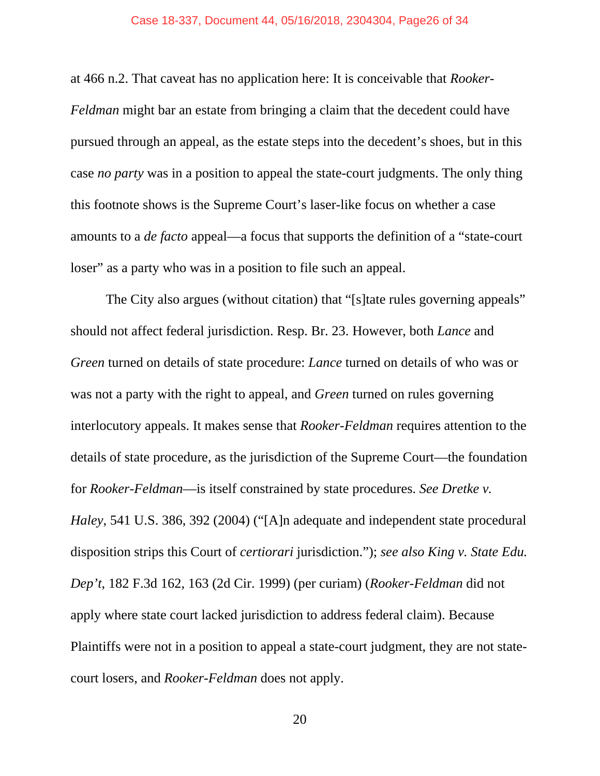#### Case 18-337, Document 44, 05/16/2018, 2304304, Page26 of 34

at 466 n.2. That caveat has no application here: It is conceivable that *Rooker-Feldman* might bar an estate from bringing a claim that the decedent could have pursued through an appeal, as the estate steps into the decedent's shoes, but in this case *no party* was in a position to appeal the state-court judgments. The only thing this footnote shows is the Supreme Court's laser-like focus on whether a case amounts to a *de facto* appeal—a focus that supports the definition of a "state-court loser" as a party who was in a position to file such an appeal.

The City also argues (without citation) that "[s]tate rules governing appeals" should not affect federal jurisdiction. Resp. Br. 23. However, both *Lance* and *Green* turned on details of state procedure: *Lance* turned on details of who was or was not a party with the right to appeal, and *Green* turned on rules governing interlocutory appeals. It makes sense that *Rooker-Feldman* requires attention to the details of state procedure, as the jurisdiction of the Supreme Court—the foundation for *Rooker-Feldman*—is itself constrained by state procedures. *See Dretke v. Haley*, 541 U.S. 386, 392 (2004) ("[A]n adequate and independent state procedural disposition strips this Court of *certiorari* jurisdiction."); *see also King v. State Edu. Dep't*, 182 F.3d 162, 163 (2d Cir. 1999) (per curiam) (*Rooker-Feldman* did not apply where state court lacked jurisdiction to address federal claim). Because Plaintiffs were not in a position to appeal a state-court judgment, they are not statecourt losers, and *Rooker-Feldman* does not apply.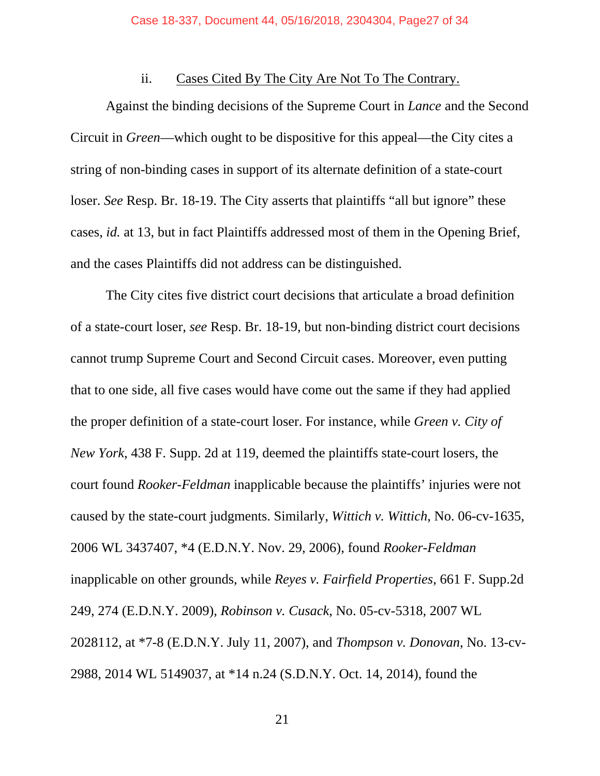## ii. Cases Cited By The City Are Not To The Contrary.

Against the binding decisions of the Supreme Court in *Lance* and the Second Circuit in *Green*—which ought to be dispositive for this appeal—the City cites a string of non-binding cases in support of its alternate definition of a state-court loser. *See* Resp. Br. 18-19. The City asserts that plaintiffs "all but ignore" these cases, *id.* at 13, but in fact Plaintiffs addressed most of them in the Opening Brief, and the cases Plaintiffs did not address can be distinguished.

The City cites five district court decisions that articulate a broad definition of a state-court loser, *see* Resp. Br. 18-19, but non-binding district court decisions cannot trump Supreme Court and Second Circuit cases. Moreover, even putting that to one side, all five cases would have come out the same if they had applied the proper definition of a state-court loser. For instance, while *Green v. City of New York*, 438 F. Supp. 2d at 119, deemed the plaintiffs state-court losers, the court found *Rooker-Feldman* inapplicable because the plaintiffs' injuries were not caused by the state-court judgments. Similarly, *Wittich v. Wittich*, No. 06-cv-1635, 2006 WL 3437407, \*4 (E.D.N.Y. Nov. 29, 2006), found *Rooker-Feldman*  inapplicable on other grounds, while *Reyes v. Fairfield Properties*, 661 F. Supp.2d 249, 274 (E.D.N.Y. 2009), *Robinson v. Cusack*, No. 05-cv-5318, 2007 WL 2028112, at \*7-8 (E.D.N.Y. July 11, 2007), and *Thompson v. Donovan*, No. 13-cv-2988, 2014 WL 5149037, at \*14 n.24 (S.D.N.Y. Oct. 14, 2014), found the

 $21$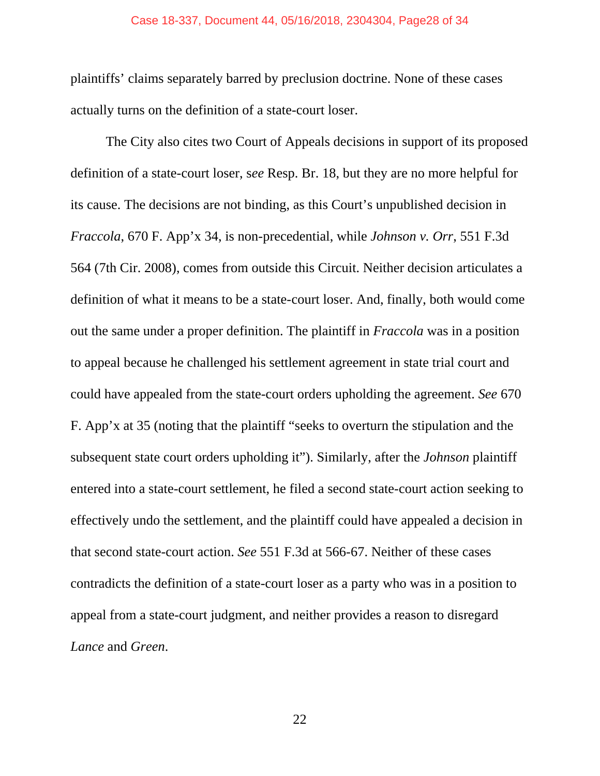#### Case 18-337, Document 44, 05/16/2018, 2304304, Page28 of 34

plaintiffs' claims separately barred by preclusion doctrine. None of these cases actually turns on the definition of a state-court loser.

The City also cites two Court of Appeals decisions in support of its proposed definition of a state-court loser, s*ee* Resp. Br. 18, but they are no more helpful for its cause. The decisions are not binding, as this Court's unpublished decision in *Fraccola*, 670 F. App'x 34, is non-precedential, while *Johnson v. Orr*, 551 F.3d 564 (7th Cir. 2008), comes from outside this Circuit. Neither decision articulates a definition of what it means to be a state-court loser. And, finally, both would come out the same under a proper definition. The plaintiff in *Fraccola* was in a position to appeal because he challenged his settlement agreement in state trial court and could have appealed from the state-court orders upholding the agreement. *See* 670 F. App'x at 35 (noting that the plaintiff "seeks to overturn the stipulation and the subsequent state court orders upholding it"). Similarly, after the *Johnson* plaintiff entered into a state-court settlement, he filed a second state-court action seeking to effectively undo the settlement, and the plaintiff could have appealed a decision in that second state-court action. *See* 551 F.3d at 566-67. Neither of these cases contradicts the definition of a state-court loser as a party who was in a position to appeal from a state-court judgment, and neither provides a reason to disregard *Lance* and *Green*.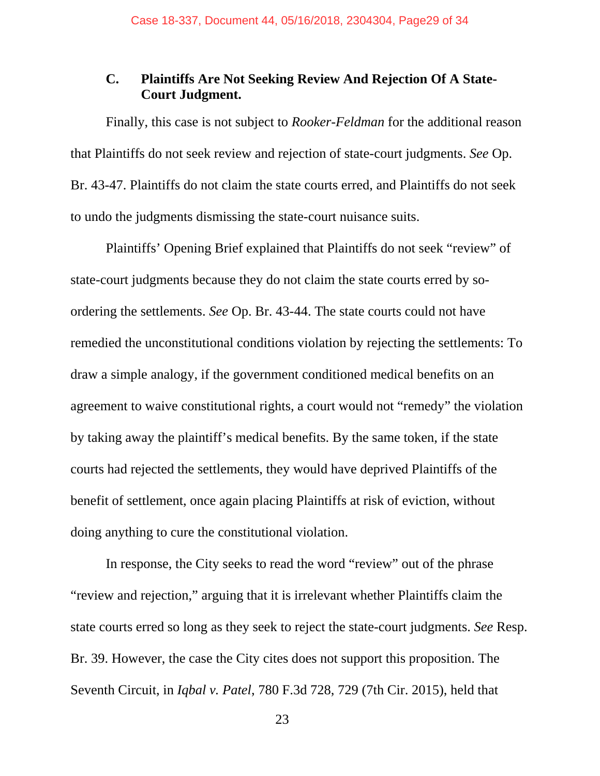## **C. Plaintiffs Are Not Seeking Review And Rejection Of A State-Court Judgment.**

Finally, this case is not subject to *Rooker-Feldman* for the additional reason that Plaintiffs do not seek review and rejection of state-court judgments. *See* Op. Br. 43-47. Plaintiffs do not claim the state courts erred, and Plaintiffs do not seek to undo the judgments dismissing the state-court nuisance suits.

Plaintiffs' Opening Brief explained that Plaintiffs do not seek "review" of state-court judgments because they do not claim the state courts erred by soordering the settlements. *See* Op. Br. 43-44. The state courts could not have remedied the unconstitutional conditions violation by rejecting the settlements: To draw a simple analogy, if the government conditioned medical benefits on an agreement to waive constitutional rights, a court would not "remedy" the violation by taking away the plaintiff's medical benefits. By the same token, if the state courts had rejected the settlements, they would have deprived Plaintiffs of the benefit of settlement, once again placing Plaintiffs at risk of eviction, without doing anything to cure the constitutional violation.

In response, the City seeks to read the word "review" out of the phrase "review and rejection," arguing that it is irrelevant whether Plaintiffs claim the state courts erred so long as they seek to reject the state-court judgments. *See* Resp. Br. 39. However, the case the City cites does not support this proposition. The Seventh Circuit, in *Iqbal v. Patel*, 780 F.3d 728, 729 (7th Cir. 2015), held that

 $23$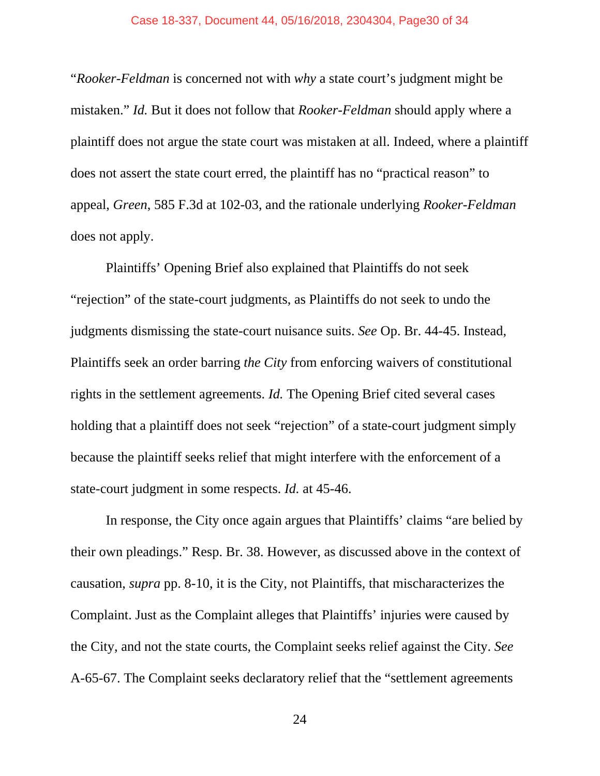#### Case 18-337, Document 44, 05/16/2018, 2304304, Page30 of 34

"*Rooker-Feldman* is concerned not with *why* a state court's judgment might be mistaken." *Id.* But it does not follow that *Rooker-Feldman* should apply where a plaintiff does not argue the state court was mistaken at all. Indeed, where a plaintiff does not assert the state court erred, the plaintiff has no "practical reason" to appeal, *Green*, 585 F.3d at 102-03, and the rationale underlying *Rooker-Feldman*  does not apply.

Plaintiffs' Opening Brief also explained that Plaintiffs do not seek "rejection" of the state-court judgments, as Plaintiffs do not seek to undo the judgments dismissing the state-court nuisance suits. *See* Op. Br. 44-45. Instead, Plaintiffs seek an order barring *the City* from enforcing waivers of constitutional rights in the settlement agreements. *Id.* The Opening Brief cited several cases holding that a plaintiff does not seek "rejection" of a state-court judgment simply because the plaintiff seeks relief that might interfere with the enforcement of a state-court judgment in some respects. *Id.* at 45-46.

In response, the City once again argues that Plaintiffs' claims "are belied by their own pleadings." Resp. Br. 38. However, as discussed above in the context of causation, *supra* pp. 8-10, it is the City, not Plaintiffs, that mischaracterizes the Complaint. Just as the Complaint alleges that Plaintiffs' injuries were caused by the City, and not the state courts, the Complaint seeks relief against the City. *See*  A-65-67. The Complaint seeks declaratory relief that the "settlement agreements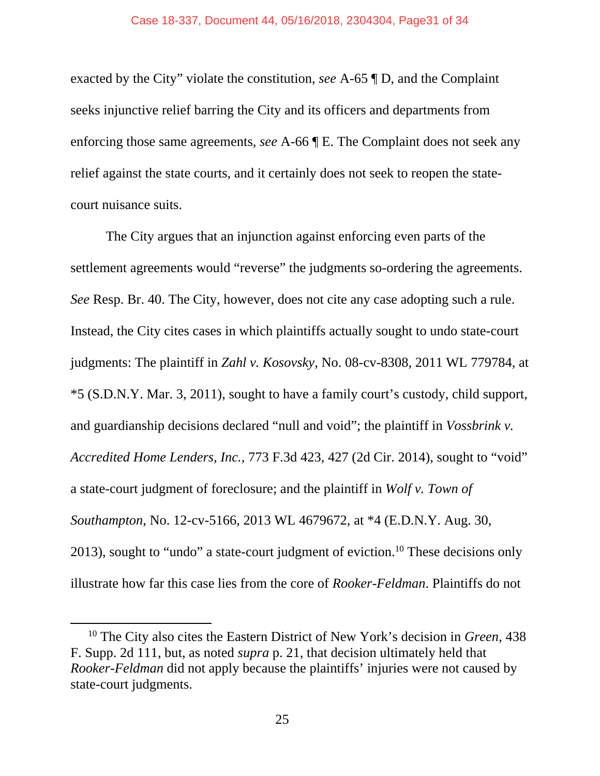exacted by the City" violate the constitution, *see* A-65 ¶ D, and the Complaint seeks injunctive relief barring the City and its officers and departments from enforcing those same agreements, *see* A-66 ¶ E. The Complaint does not seek any relief against the state courts, and it certainly does not seek to reopen the statecourt nuisance suits.

The City argues that an injunction against enforcing even parts of the settlement agreements would "reverse" the judgments so-ordering the agreements. *See* Resp. Br. 40. The City, however, does not cite any case adopting such a rule. Instead, the City cites cases in which plaintiffs actually sought to undo state-court judgments: The plaintiff in *Zahl v. Kosovsky*, No. 08-cv-8308, 2011 WL 779784, at \*5 (S.D.N.Y. Mar. 3, 2011), sought to have a family court's custody, child support, and guardianship decisions declared "null and void"; the plaintiff in *Vossbrink v. Accredited Home Lenders, Inc.,* 773 F.3d 423, 427 (2d Cir. 2014), sought to "void" a state-court judgment of foreclosure; and the plaintiff in *Wolf v. Town of Southampton*, No. 12-cv-5166, 2013 WL 4679672, at \*4 (E.D.N.Y. Aug. 30, 2013), sought to "undo" a state-court judgment of eviction.<sup>10</sup> These decisions only illustrate how far this case lies from the core of *Rooker-Feldman*. Plaintiffs do not

 <sup>10</sup> The City also cites the Eastern District of New York's decision in *Green*, 438 F. Supp. 2d 111, but, as noted *supra* p. 21, that decision ultimately held that *Rooker-Feldman* did not apply because the plaintiffs' injuries were not caused by state-court judgments.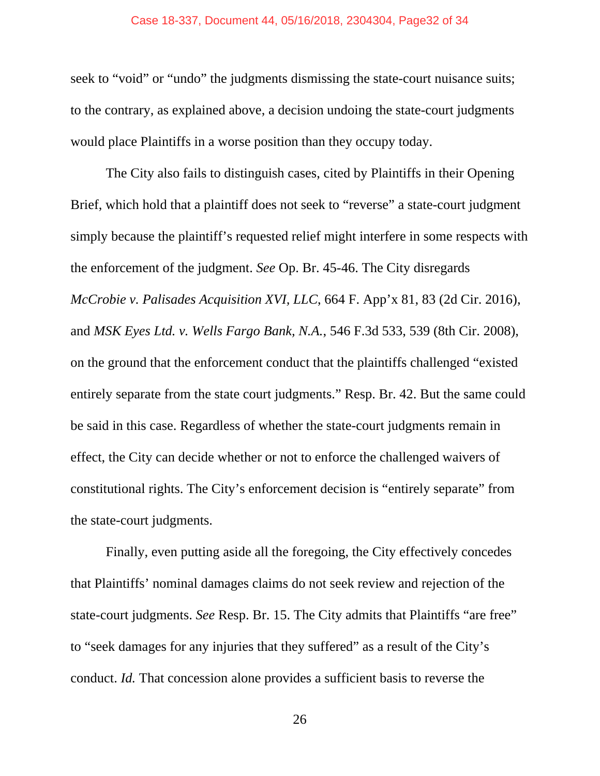#### Case 18-337, Document 44, 05/16/2018, 2304304, Page32 of 34

seek to "void" or "undo" the judgments dismissing the state-court nuisance suits; to the contrary, as explained above, a decision undoing the state-court judgments would place Plaintiffs in a worse position than they occupy today.

The City also fails to distinguish cases, cited by Plaintiffs in their Opening Brief, which hold that a plaintiff does not seek to "reverse" a state-court judgment simply because the plaintiff's requested relief might interfere in some respects with the enforcement of the judgment. *See* Op. Br. 45-46. The City disregards *McCrobie v. Palisades Acquisition XVI, LLC*, 664 F. App'x 81, 83 (2d Cir. 2016), and *MSK Eyes Ltd. v. Wells Fargo Bank, N.A.*, 546 F.3d 533, 539 (8th Cir. 2008), on the ground that the enforcement conduct that the plaintiffs challenged "existed entirely separate from the state court judgments." Resp. Br. 42. But the same could be said in this case. Regardless of whether the state-court judgments remain in effect, the City can decide whether or not to enforce the challenged waivers of constitutional rights. The City's enforcement decision is "entirely separate" from the state-court judgments.

Finally, even putting aside all the foregoing, the City effectively concedes that Plaintiffs' nominal damages claims do not seek review and rejection of the state-court judgments. *See* Resp. Br. 15. The City admits that Plaintiffs "are free" to "seek damages for any injuries that they suffered" as a result of the City's conduct. *Id.* That concession alone provides a sufficient basis to reverse the

 $26$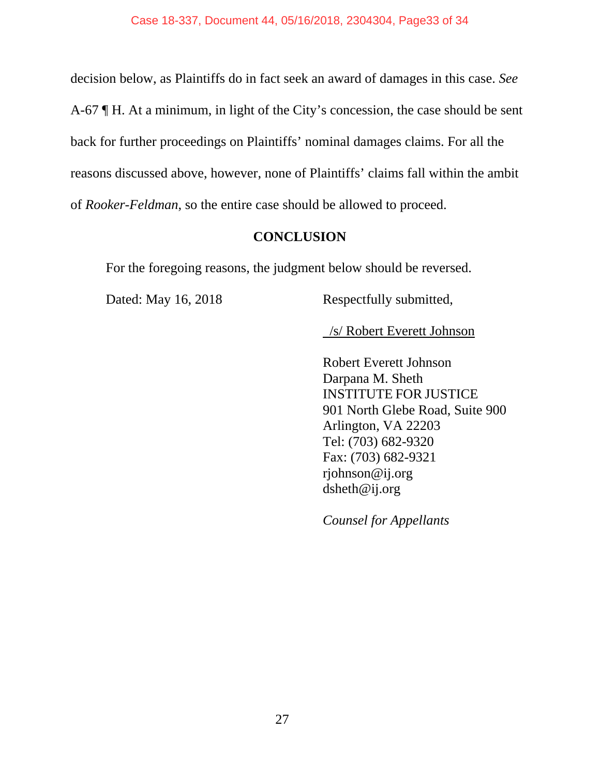decision below, as Plaintiffs do in fact seek an award of damages in this case. *See*  A-67 ¶ H. At a minimum, in light of the City's concession, the case should be sent back for further proceedings on Plaintiffs' nominal damages claims. For all the reasons discussed above, however, none of Plaintiffs' claims fall within the ambit of *Rooker-Feldman*, so the entire case should be allowed to proceed.

## **CONCLUSION**

For the foregoing reasons, the judgment below should be reversed.

Dated: May 16, 2018 Respectfully submitted,

/s/ Robert Everett Johnson

Robert Everett Johnson Darpana M. Sheth INSTITUTE FOR JUSTICE 901 North Glebe Road, Suite 900 Arlington, VA 22203 Tel: (703) 682-9320 Fax: (703) 682-9321 rjohnson@ij.org dsheth@ij.org

*Counsel for Appellants*